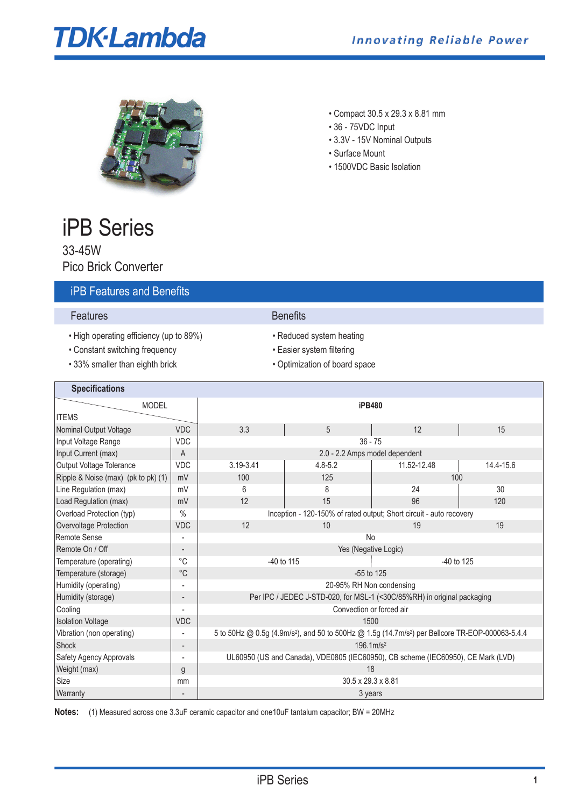# **TDK-Lambda**



- Compact 30.5 x 29.3 x 8.81 mm
- 36 75VDC Input
- 3.3V 15V Nominal Outputs
- Surface Mount
- 1500VDC Basic Isolation

# iPB Series

33-45W Pico Brick Converter

# iPB Features and Benefits

#### **Features** Benefits

 $\mathbf{r}$ 

- High operating efficiency (up to 89%) Reduced system heating
- Constant switching frequency Easier system filtering
- 33% smaller than eighth brick Optimization of board space

- 
- 
- 

| <b>Specifications</b>               |               |                                                                                                                          |             |             |           |  |
|-------------------------------------|---------------|--------------------------------------------------------------------------------------------------------------------------|-------------|-------------|-----------|--|
| <b>MODEL</b>                        |               | <b>iPB480</b>                                                                                                            |             |             |           |  |
| <b>ITEMS</b>                        |               |                                                                                                                          |             |             |           |  |
| Nominal Output Voltage              | <b>VDC</b>    | 3.3                                                                                                                      | 5           | 12          | 15        |  |
| Input Voltage Range                 | <b>VDC</b>    | $36 - 75$                                                                                                                |             |             |           |  |
| Input Current (max)                 | A             | 2.0 - 2.2 Amps model dependent                                                                                           |             |             |           |  |
| Output Voltage Tolerance            | <b>VDC</b>    | 3.19-3.41                                                                                                                | $4.8 - 5.2$ | 11.52-12.48 | 14.4-15.6 |  |
| Ripple & Noise (max) (pk to pk) (1) | mV            | 100                                                                                                                      | 125         | 100         |           |  |
| Line Regulation (max)               | mV            | 6                                                                                                                        | 8           | 24          | 30        |  |
| Load Regulation (max)               | mV            | 12                                                                                                                       | 15          | 96          | 120       |  |
| Overload Protection (typ)           | $\frac{0}{0}$ | Inception - 120-150% of rated output; Short circuit - auto recovery                                                      |             |             |           |  |
| Overvoltage Protection              | <b>VDC</b>    | 12                                                                                                                       | 10          | 19          | 19        |  |
| Remote Sense                        |               | <b>No</b>                                                                                                                |             |             |           |  |
| Remote On / Off                     |               | Yes (Negative Logic)                                                                                                     |             |             |           |  |
| Temperature (operating)             | °C            | -40 to 115<br>$-40$ to 125                                                                                               |             |             |           |  |
| Temperature (storage)               | $^{\circ}C$   | $-55$ to 125                                                                                                             |             |             |           |  |
| Humidity (operating)                |               | 20-95% RH Non condensing                                                                                                 |             |             |           |  |
| Humidity (storage)                  |               | Per IPC / JEDEC J-STD-020, for MSL-1 (<30C/85%RH) in original packaging                                                  |             |             |           |  |
| Cooling                             |               | Convection or forced air                                                                                                 |             |             |           |  |
| <b>Isolation Voltage</b>            | <b>VDC</b>    | 1500                                                                                                                     |             |             |           |  |
| Vibration (non operating)           |               | 5 to 50Hz @ 0.5g (4.9m/s <sup>2</sup> ), and 50 to 500Hz @ 1.5g (14.7m/s <sup>2</sup> ) per Bellcore TR-EOP-000063-5.4.4 |             |             |           |  |
| Shock                               |               | $196.1 \, \text{m/s}^2$                                                                                                  |             |             |           |  |
| Safety Agency Approvals             |               | UL60950 (US and Canada), VDE0805 (IEC60950), CB scheme (IEC60950), CE Mark (LVD)                                         |             |             |           |  |
| Weight (max)                        | g             | 18                                                                                                                       |             |             |           |  |
| Size                                | mm            | 30.5 x 29.3 x 8.81                                                                                                       |             |             |           |  |
| Warranty                            |               | 3 years                                                                                                                  |             |             |           |  |

**Notes:** (1) Measured across one 3.3uF ceramic capacitor and one10uF tantalum capacitor; BW = 20MHz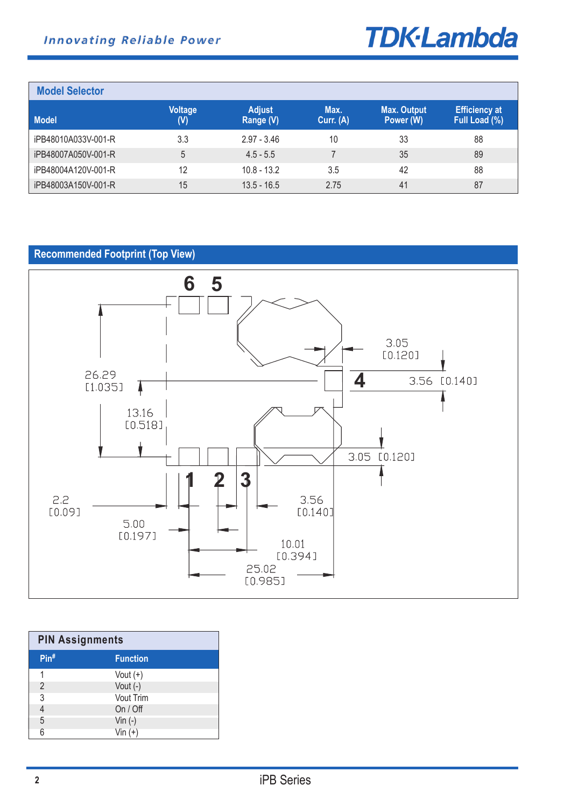

| <b>Model Selector</b> |                       |                            |                   |                                 |                                       |
|-----------------------|-----------------------|----------------------------|-------------------|---------------------------------|---------------------------------------|
| <b>Model</b>          | <b>Voltage</b><br>(V) | <b>Adjust</b><br>Range (V) | Max.<br>Curr. (A) | <b>Max. Output</b><br>Power (W) | <b>Efficiency at</b><br>Full Load (%) |
| iPB48010A033V-001-R   | 3.3                   | $2.97 - 3.46$              | 10                | 33                              | 88                                    |
| iPB48007A050V-001-R   | 5                     | $4.5 - 5.5$                |                   | 35                              | 89                                    |
| iPB48004A120V-001-R   | 12                    | $10.8 - 13.2$              | 3.5               | 42                              | 88                                    |
| iPB48003A150V-001-R   | 15                    | $13.5 - 16.5$              | 2.75              | 41                              | 87                                    |

# **Recommended Footprint (Top View)**



| <b>PIN Assignments</b> |                  |  |  |  |
|------------------------|------------------|--|--|--|
| $Pin^*$                | <b>Function</b>  |  |  |  |
| 1                      | Vout $(+)$       |  |  |  |
| 2                      | Vout $(-)$       |  |  |  |
| 3                      | <b>Vout Trim</b> |  |  |  |
|                        | On / Off         |  |  |  |
| 5                      | Vin $(-)$        |  |  |  |
| Բ                      | Vin $(+)$        |  |  |  |